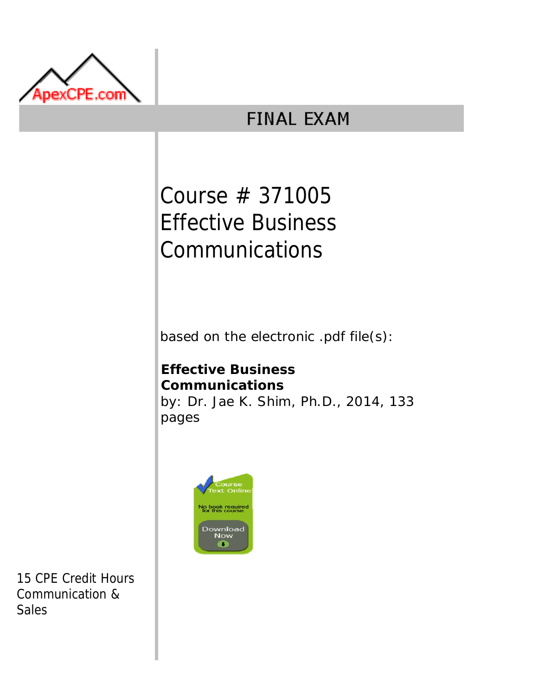

## **FINAL EXAM**

# Course # 371005 Effective Business Communications

based on the electronic .pdf file(s):

## **Effective Business Communications** by: Dr. Jae K. Shim, Ph.D., 2014, 133 pages



15 CPE Credit Hours Communication & Sales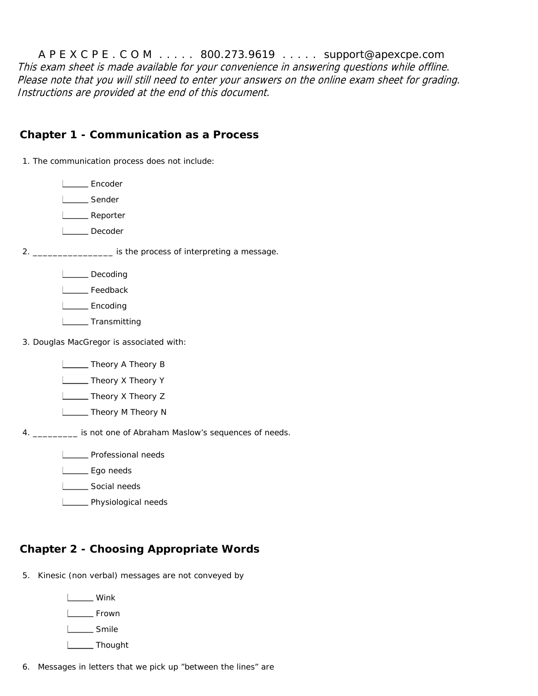A P E X C P E . C O M . . . . . 800.273.9619 . . . . . support@apexcpe.com This exam sheet is made available for your convenience in answering questions while offline. Please note that you will still need to enter your answers on the online exam sheet for grading. Instructions are provided at the end of this document.

#### **Chapter 1 - Communication as a Process**

1. The communication process does not include:

L<sub>Encoder</sub>

L<sub>Sender</sub>

L**L** Reporter

L**L** Decoder

2. \_\_\_\_\_\_\_\_\_\_\_\_\_\_\_\_ is the process of interpreting a message.

- Decoding
- L<sub>c</sub>Feedback

L<sub>Encoding</sub>

- L<sub>L</sub> Transmitting
- 3. Douglas MacGregor is associated with:

**L**\_\_\_\_\_\_ Theory A Theory B

**L** Theory X Theory Y

**L** Theory X Theory Z

**L** Theory M Theory N

4. \_\_\_\_\_\_\_\_\_ is not one of Abraham Maslow's sequences of needs.

**LETTE** Professional needs

L<sub>sqo</sub> needs

Social needs

**L** Physiological needs

## **Chapter 2 - Choosing Appropriate Words**

- 5. Kinesic (non verbal) messages are not conveyed by
	- L<sub>Wink</sub> L<sub>Frown</sub> L<sub>Smile</sub> L<sub>\_\_\_\_\_</sub>Thought

6. Messages in letters that we pick up "between the lines" are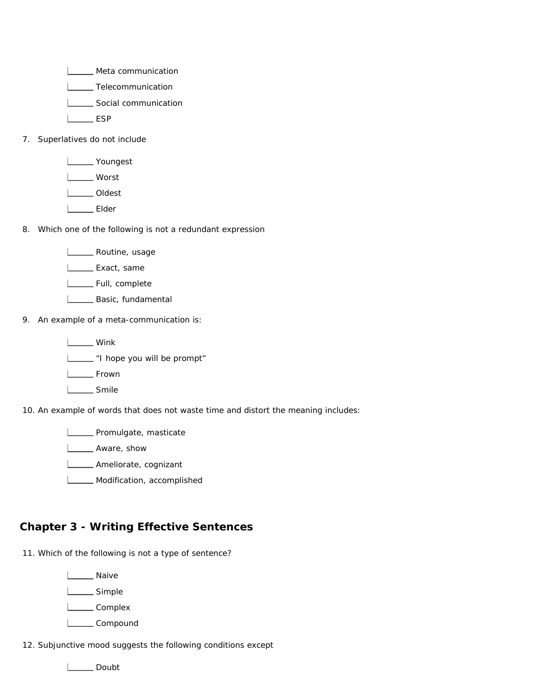**LETT** Meta communication

**LECOMMUNICATION** 

Social communication

L<sub>L</sub>ESP

- 7. Superlatives do not include
	- Youngest Worst L**oudest** L**Elder**
- 8. Which one of the following is not a redundant expression

L**ECO** Routine, usage

**L** Exact, same

L\_\_\_\_\_ Full, complete

- **L** Basic, fundamental
- 9. An example of a meta-communication is:

L<sub>Wink</sub> "I hope you will be prompt"

L<sub>tum</sub> Frown

L<sub>Smile</sub>

10. An example of words that does not waste time and distort the meaning includes:

**LECTE** Promulgate, masticate

L**L**Aware, show

- **Lower** Ameliorate, cognizant
- **LETTE** Modification, accomplished

## **Chapter 3 - Writing Effective Sentences**

11. Which of the following is not a type of sentence?

L<sub>Naive</sub>

L<sub>Simple</sub>

L<sub>complex</sub>

L<sub>compound</sub>

12. Subjunctive mood suggests the following conditions except

L<sub>Doubt</sub>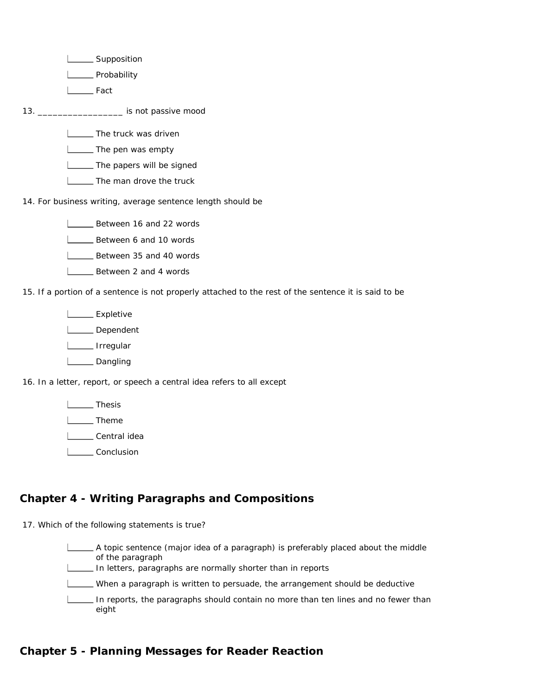L\_\_\_\_\_\_ Supposition

**L\_\_\_\_**Probability

L<sub>Fact</sub>

13. \_\_\_\_\_\_\_\_\_\_\_\_\_\_\_\_\_ is not passive mood

**The truck was driven** 

**ICCCC** The pen was empty

**The papers will be signed** 

**L\_\_\_\_** The man drove the truck

14. For business writing, average sentence length should be

**L** Between 16 and 22 words

**L** Between 6 and 10 words

**L** Between 35 and 40 words

**L** Between 2 and 4 words

15. If a portion of a sentence is not properly attached to the rest of the sentence it is said to be

L\_\_\_\_\_\_ Expletive

L**L**Dependent

L\_\_\_\_\_ Irregular

L<sub>Dangling</sub>

16. In a letter, report, or speech a central idea refers to all except

L<sub>D</sub> Thesis

L<sub>D</sub>Theme

Loose Central idea

L<sub>ound</sub> Conclusion

## **Chapter 4 - Writing Paragraphs and Compositions**

17. Which of the following statements is true?

A topic sentence (major idea of a paragraph) is preferably placed about the middle of the paragraph

In letters, paragraphs are normally shorter than in reports

When a paragraph is written to persuade, the arrangement should be deductive

In reports, the paragraphs should contain no more than ten lines and no fewer than eight

## **Chapter 5 - Planning Messages for Reader Reaction**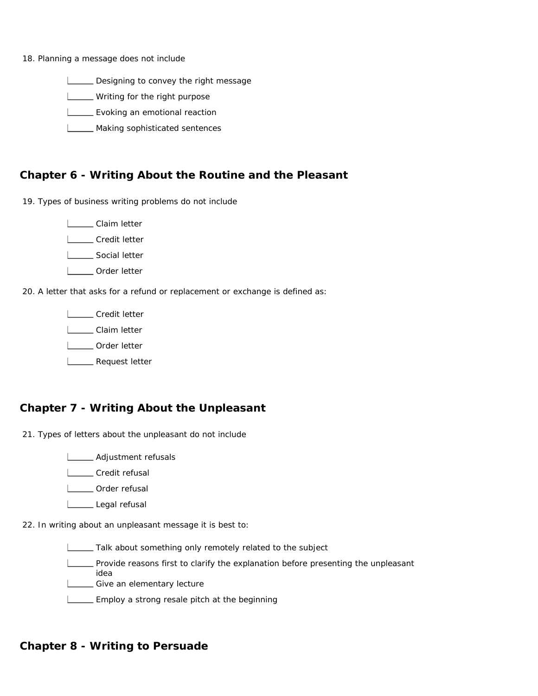18. Planning a message does not include

Designing to convey the right message

**LETTER** Writing for the right purpose

**L** Evoking an emotional reaction

**LETT** Making sophisticated sentences

#### **Chapter 6 - Writing About the Routine and the Pleasant**

19. Types of business writing problems do not include

Claim letter L**Credit letter** 

**L\_\_\_\_** Social letter

L**L** Order letter

20. A letter that asks for a refund or replacement or exchange is defined as:

L**L** Credit letter

L\_\_\_\_\_ Claim letter

**L\_\_\_\_** Order letter

L\_\_\_\_ Request letter

## **Chapter 7 - Writing About the Unpleasant**

21. Types of letters about the unpleasant do not include

**L\_\_\_\_\_** Adjustment refusals

L<sub>L</sub>Credit refusal

**L** Order refusal

Legal refusal

22. In writing about an unpleasant message it is best to:

**Talk about something only remotely related to the subject** 

Provide reasons first to clarify the explanation before presenting the unpleasant idea

Give an elementary lecture

**EMPLOY** a strong resale pitch at the beginning

## **Chapter 8 - Writing to Persuade**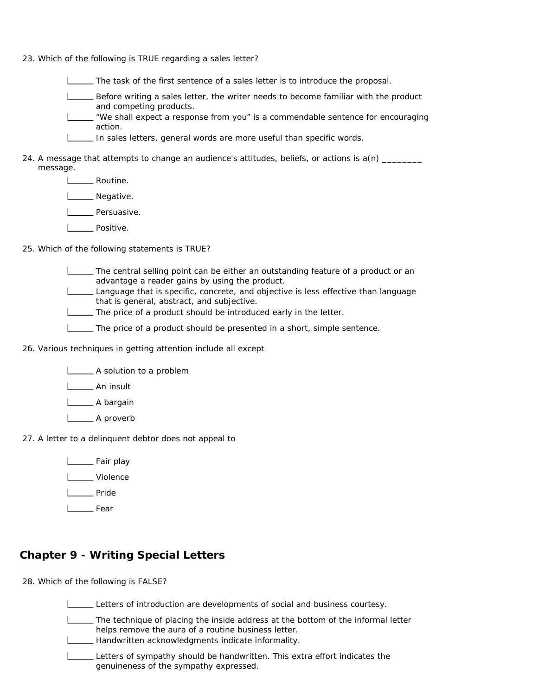23. Which of the following is TRUE regarding a sales letter?

The task of the first sentence of a sales letter is to introduce the proposal.

- Before writing a sales letter, the writer needs to become familiar with the product and competing products.
- $\equiv$  "We shall expect a response from you" is a commendable sentence for encouraging action.
- In sales letters, general words are more useful than specific words.
- 24. A message that attempts to change an audience's attitudes, beliefs, or actions is a(n) \_\_\_\_\_\_\_\_ message.
	- **Lacks** Routine.
	- L<sub>\_\_\_\_</sub>\_\_ Negative.
	- L<sub>Dersuasive.</sub>
	- **Lackson** Positive.
- 25. Which of the following statements is TRUE?
	- The central selling point can be either an outstanding feature of a product or an advantage a reader gains by using the product.
	- Language that is specific, concrete, and objective is less effective than language that is general, abstract, and subjective.
	- The price of a product should be introduced early in the letter.
	- The price of a product should be presented in a short, simple sentence.
- 26. Various techniques in getting attention include all except
	- **A** solution to a problem
	- **L\_\_\_\_\_** An insult
	- L\_\_\_\_\_\_\_ A bargain
	- L**A** proverb
- 27. A letter to a delinquent debtor does not appeal to
	- **L** Fair play
	- L**L** Violence
	- **Lacker** Pride
	- Louise Fear

## **Chapter 9 - Writing Special Letters**

- 28. Which of the following is FALSE?
	- Letters of introduction are developments of social and business courtesy.
	- The technique of placing the inside address at the bottom of the informal letter helps remove the aura of a routine business letter.
	- Handwritten acknowledgments indicate informality.
	- Letters of sympathy should be handwritten. This extra effort indicates the genuineness of the sympathy expressed.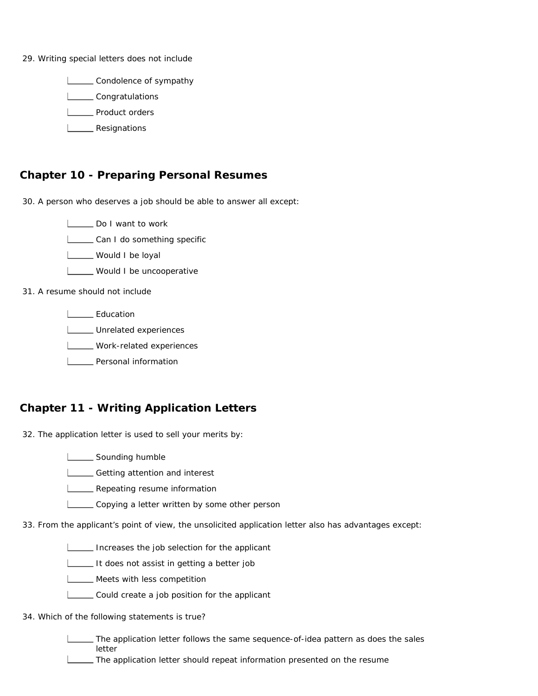29. Writing special letters does not include

**LECONDEDITY** Condolence of sympathy

**LECONS** Congratulations

**LECCC** Product orders

**L**<br>Resignations

## **Chapter 10 - Preparing Personal Resumes**

30. A person who deserves a job should be able to answer all except:

Do I want to work

**LETT** Can I do something specific

**Would I be loyal** 

**LECT** Would I be uncooperative

31. A resume should not include

L**L** Education

**LECCC** Unrelated experiences

**LECCC** Work-related experiences

**L\_\_\_\_** Personal information

## **Chapter 11 - Writing Application Letters**

32. The application letter is used to sell your merits by:

**LETT** Sounding humble

**L\_\_\_\_** Getting attention and interest

**LETT** Repeating resume information

Copying a letter written by some other person

33. From the applicant's point of view, the unsolicited application letter also has advantages except:

Increases the job selection for the applicant

It does not assist in getting a better job

- **LETT** Meets with less competition
- Could create a job position for the applicant

#### 34. Which of the following statements is true?

The application letter follows the same sequence-of-idea pattern as does the sales letter

The application letter should repeat information presented on the resume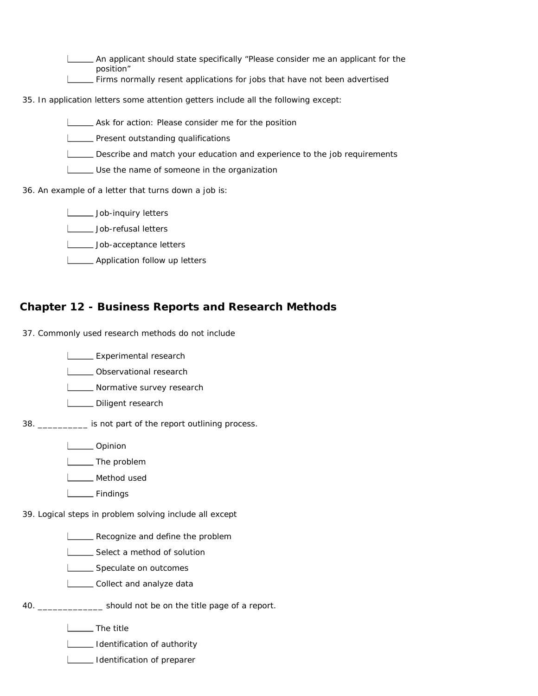An applicant should state specifically "Please consider me an applicant for the position"

**Firms normally resent applications for jobs that have not been advertised** 

35. In application letters some attention getters include all the following except:

**LECT** Ask for action: Please consider me for the position

**LETT** Present outstanding qualifications

Describe and match your education and experience to the job requirements

Use the name of someone in the organization

36. An example of a letter that turns down a job is:

**Lob-inquiry letters** 

**Letters** Job-refusal letters

**Letters** Job-acceptance letters

**LETT** Application follow up letters

#### **Chapter 12 - Business Reports and Research Methods**

37. Commonly used research methods do not include

**LEXPERIMENTELISTS** Experimental research

**L** Observational research

**Normative survey research** 

Diligent research

38. \_\_\_\_\_\_\_\_\_\_ is not part of the report outlining process.

L**L**Opinion

L<sub>\_\_\_</sub>\_\_\_\_ The problem

**L** Method used

Findings

39. Logical steps in problem solving include all except

**LECOL** Recognize and define the problem

**LECT** Select a method of solution

**LECCC** Speculate on outcomes

**LECOLLECT and analyze data** 

40. \_\_\_\_\_\_\_\_\_\_\_\_\_ should not be on the title page of a report.

**L** The title

**Identification of authority** 

**Identification of preparer**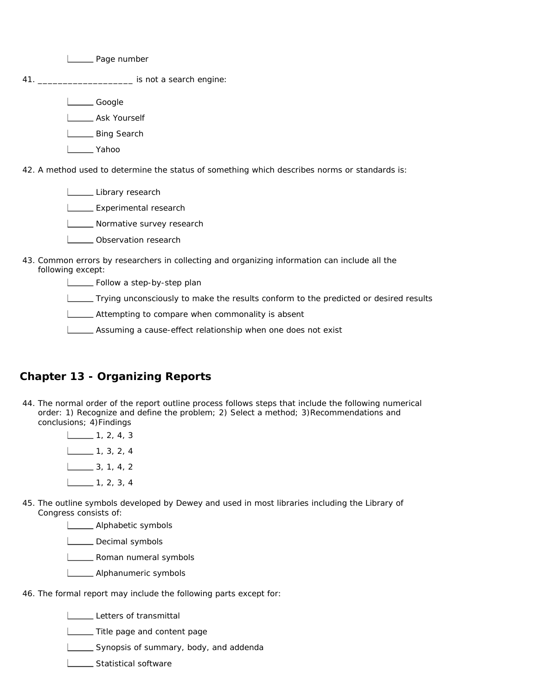**L** Page number 41. \_\_\_\_\_\_\_\_\_\_\_\_\_\_\_\_\_\_\_ is not a search engine: Letter Google L**\_\_\_\_** Ask Yourself L\_\_\_\_\_ Bing Search Yahoo 42. A method used to determine the status of something which describes norms or standards is: Library research

**LEXPERIMENTELISTS** Experimental research

**Normative survey research** 

- **LECT** Observation research
- 43. Common errors by researchers in collecting and organizing information can include all the following except:

**LACCC** Follow a step-by-step plan

Trying unconsciously to make the results conform to the predicted or desired results

**LETT** Attempting to compare when commonality is absent

**LECT** Assuming a cause-effect relationship when one does not exist

## **Chapter 13 - Organizing Reports**

- 44. The normal order of the report outline process follows steps that include the following numerical order: 1) Recognize and define the problem; 2) Select a method; 3)Recommendations and conclusions; 4)Findings
	- $\frac{1}{2}$  1, 2, 4, 3  $\frac{1}{2}$  1, 3, 2, 4  $\frac{1}{3}$ , 1, 4, 2  $\boxed{\phantom{0}}$  1, 2, 3, 4
- 45. The outline symbols developed by Dewey and used in most libraries including the Library of Congress consists of:

**LETTE** Alphabetic symbols

Decimal symbols

**Lower** Roman numeral symbols

- **LETTE** Alphanumeric symbols
- 46. The formal report may include the following parts except for:

Letters of transmittal

**LETTITE page and content page** 

Synopsis of summary, body, and addenda

**LETTE** Statistical software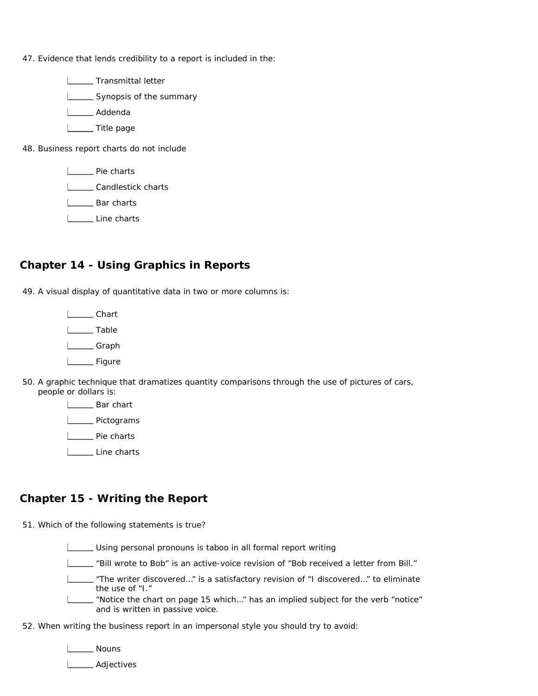47. Evidence that lends credibility to a report is included in the:

**LECT** Transmittal letter Synopsis of the summary L**L**Addenda **Lette** page 48. Business report charts do not include **L\_\_\_\_** Pie charts **LECAN Candlestick charts L** Bar charts Line charts

## **Chapter 14 - Using Graphics in Reports**

49. A visual display of quantitative data in two or more columns is:

L**Chart** L<sub>11</sub>Table L<sub>Graph</sub> Louise Figure

50. A graphic technique that dramatizes quantity comparisons through the use of pictures of cars, people or dollars is:

> L\_\_\_\_\_ Bar chart L**L** Pictograms L<sub>pie</sub> Pie charts

> L<sub>ine</sub> charts

## **Chapter 15 - Writing the Report**

51. Which of the following statements is true?

Using personal pronouns is taboo in all formal report writing

"Bill wrote to Bob" is an active-voice revision of "Bob received a letter from Bill."

"The writer discovered…" is a satisfactory revision of "I discovered…" to eliminate the use of "I."

"Notice the chart on page 15 which…" has an implied subject for the verb "notice" and is written in passive voice.

52. When writing the business report in an impersonal style you should try to avoid:

L**L** Nouns

L<sub>Adjectives</sub>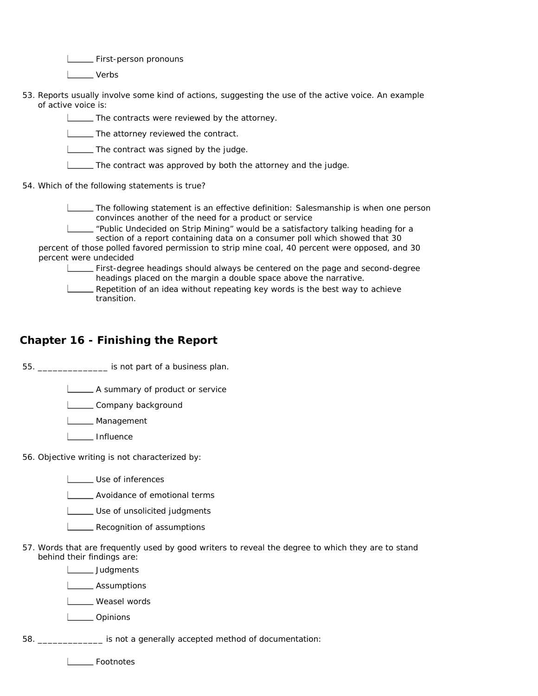**LETTE:** First-person pronouns

I \_\_\_ Verbs

53. Reports usually involve some kind of actions, suggesting the use of the active voice. An example of active voice is:

The contracts were reviewed by the attorney.

**The attorney reviewed the contract.** 

The contract was signed by the judge.

The contract was approved by both the attorney and the judge.

54. Which of the following statements is true?

The following statement is an effective definition: Salesmanship is when one person convinces another of the need for a product or service

"Public Undecided on Strip Mining" would be a satisfactory talking heading for a section of a report containing data on a consumer poll which showed that 30

percent of those polled favored permission to strip mine coal, 40 percent were opposed, and 30 percent were undecided

First-degree headings should always be centered on the page and second-degree headings placed on the margin a double space above the narrative.

Repetition of an idea without repeating key words is the best way to achieve transition.

#### **Chapter 16 - Finishing the Report**

55. \_\_\_\_\_\_\_\_\_\_\_\_\_\_ is not part of a business plan.

A summary of product or service

Lompany background

**L\_\_\_\_\_** Management

L<sub>111</sub> Influence

56. Objective writing is not characterized by:

L<sub>L</sub>Use of inferences

**LETT** Avoidance of emotional terms

**LECT** Use of unsolicited judgments

- **L\_\_\_\_** Recognition of assumptions
- 57. Words that are frequently used by good writers to reveal the degree to which they are to stand behind their findings are:

L<sub>Judgments</sub>

**L** Assumptions

Loosel words

L**L**Opinions

58. \_\_\_\_\_\_\_\_\_\_\_\_\_ is not a generally accepted method of documentation:

L**L** Footnotes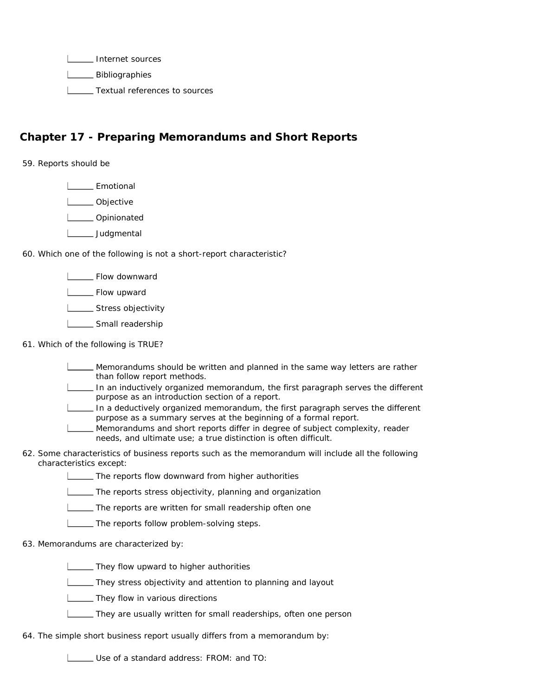**Internet sources** 

L\_\_\_\_\_ Bibliographies

**L\_\_\_\_** Textual references to sources

## **Chapter 17 - Preparing Memorandums and Short Reports**

59. Reports should be

L<sub>Emotional</sub>

I \_\_\_\_\_ Objective

L**L**Opinionated

L<sub>\_\_\_\_</sub>\_\_\_\_ Judgmental

60. Which one of the following is not a short-report characteristic?

Flow downward

**L** Flow upward

**LETT** Stress objectivity

Small readership

#### 61. Which of the following is TRUE?

Memorandums should be written and planned in the same way letters are rather than follow report methods.

In an inductively organized memorandum, the first paragraph serves the different purpose as an introduction section of a report.

In a deductively organized memorandum, the first paragraph serves the different purpose as a summary serves at the beginning of a formal report.

Memorandums and short reports differ in degree of subject complexity, reader needs, and ultimate use; a true distinction is often difficult.

62. Some characteristics of business reports such as the memorandum will include all the following characteristics except:

The reports flow downward from higher authorities

The reports stress objectivity, planning and organization

The reports are written for small readership often one

The reports follow problem-solving steps.

#### 63. Memorandums are characterized by:

**They flow upward to higher authorities** 

**L\_\_\_\_** They stress objectivity and attention to planning and layout

**They flow in various directions** 

They are usually written for small readerships, often one person

64. The simple short business report usually differs from a memorandum by:

Use of a standard address: FROM: and TO: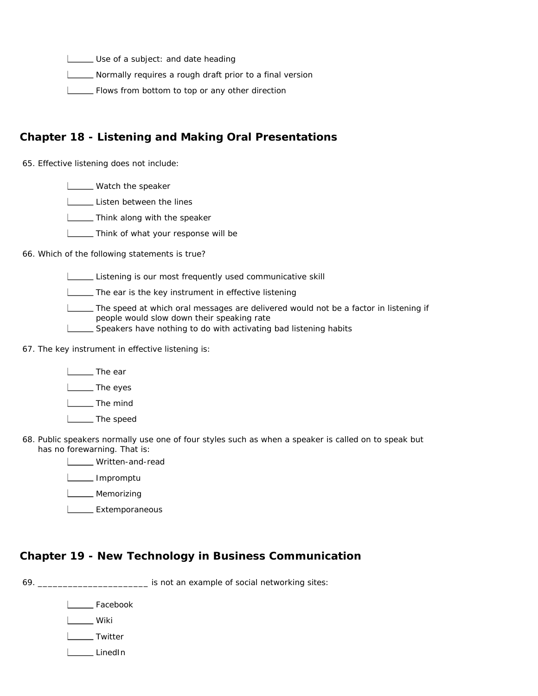Use of a subject: and date heading

**LETT** Normally requires a rough draft prior to a final version

Flows from bottom to top or any other direction

## **Chapter 18 - Listening and Making Oral Presentations**

65. Effective listening does not include:

**LETT** Watch the speaker

**Listen between the lines** 

**Think along with the speaker** 

**Think of what your response will be** 

66. Which of the following statements is true?

Listening is our most frequently used communicative skill

**The ear is the key instrument in effective listening** 

The speed at which oral messages are delivered would not be a factor in listening if people would slow down their speaking rate

Speakers have nothing to do with activating bad listening habits

67. The key instrument in effective listening is:

| The ear

The eyes

**L** The mind

**Linds** The speed

68. Public speakers normally use one of four styles such as when a speaker is called on to speak but has no forewarning. That is:

Written-and-read

Impromptu

**L**\_\_\_\_\_\_ Memorizing

L**Extemporaneous** 

## **Chapter 19 - New Technology in Business Communication**

69. \_\_\_\_\_\_\_\_\_\_\_\_\_\_\_\_\_\_\_\_\_\_ is not an example of social networking sites:

L<sub>c</sub>Facebook

**Lack Wiki** 

L**L** Twitter

LinedIn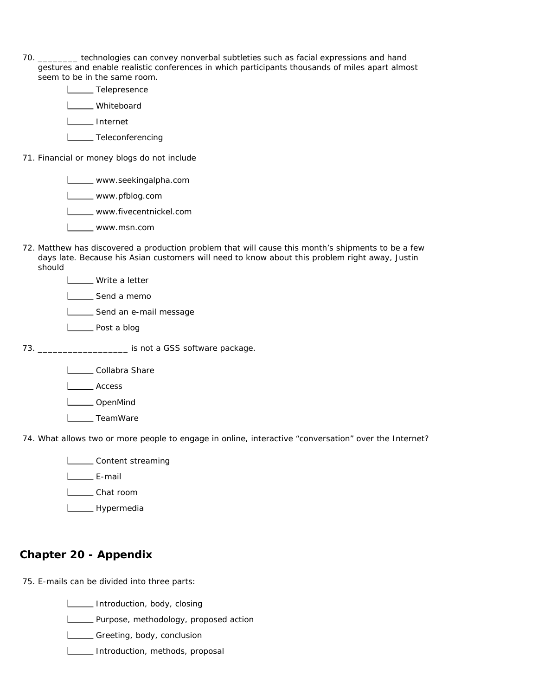- 70. \_\_\_\_\_\_\_\_ technologies can convey nonverbal subtleties such as facial expressions and hand gestures and enable realistic conferences in which participants thousands of miles apart almost seem to be in the same room.
- Telepresence L**L** Whiteboard I\_\_\_ Internet L**L** Teleconferencing 71. Financial or money blogs do not include
	- **LECTE** www.seekingalpha.com www.pfblog.com L\_\_\_\_ www.fivecentnickel.com www.msn.com
- 72. Matthew has discovered a production problem that will cause this month's shipments to be a few days late. Because his Asian customers will need to know about this problem right away, Justin should
	- **LETT** Write a letter
	- L<sub>Send a memo</sub>
	- Send an e-mail message
	- **L** Post a blog
- 73. \_\_\_\_\_\_\_\_\_\_\_\_\_\_\_\_\_\_ is not a GSS software package.
	- Lollabra Share
	- L<sub>Access</sub>
	- L**OpenMind**
	- I \_\_\_\_ TeamWare
- 74. What allows two or more people to engage in online, interactive "conversation" over the Internet?
	- **LETT** Content streaming
	- L<sub>E</sub>-mail
	- I\_\_\_\_ Chat room
	- L<sub>M</sub>Hypermedia

## **Chapter 20 - Appendix**

- 75. E-mails can be divided into three parts:
	- **ILLETT** Introduction, body, closing
	- L\_\_\_\_\_ Purpose, methodology, proposed action
	- Greeting, body, conclusion
	- **Introduction, methods, proposal**